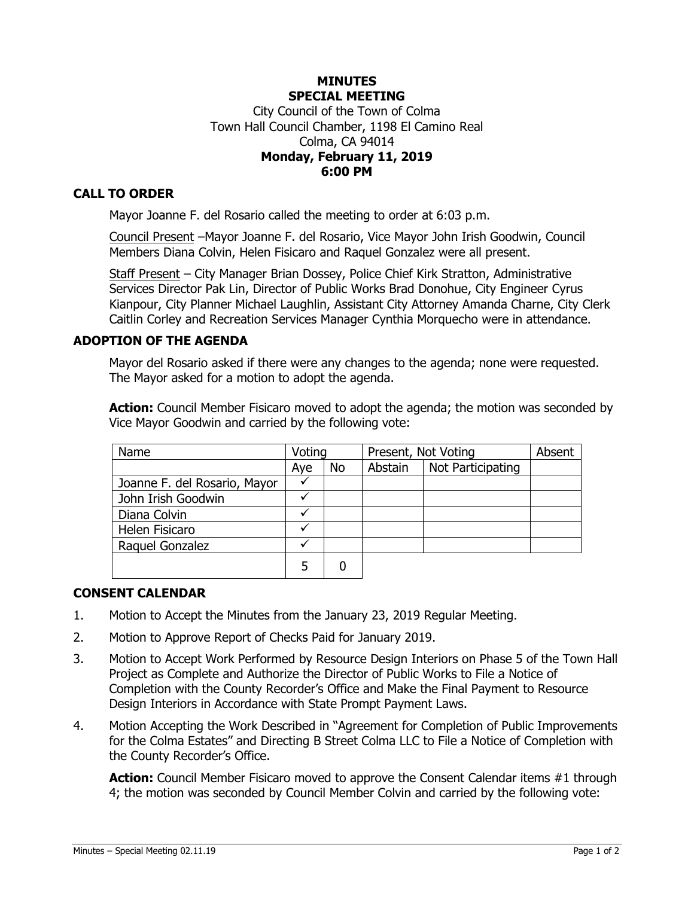### **MINUTES SPECIAL MEETING** City Council of the Town of Colma Town Hall Council Chamber, 1198 El Camino Real Colma, CA 94014 **Monday, February 11, 2019 6:00 PM**

# **CALL TO ORDER**

Mayor Joanne F. del Rosario called the meeting to order at 6:03 p.m.

Council Present –Mayor Joanne F. del Rosario, Vice Mayor John Irish Goodwin, Council Members Diana Colvin, Helen Fisicaro and Raquel Gonzalez were all present.

Staff Present – City Manager Brian Dossey, Police Chief Kirk Stratton, Administrative Services Director Pak Lin, Director of Public Works Brad Donohue, City Engineer Cyrus Kianpour, City Planner Michael Laughlin, Assistant City Attorney Amanda Charne, City Clerk Caitlin Corley and Recreation Services Manager Cynthia Morquecho were in attendance.

## **ADOPTION OF THE AGENDA**

Mayor del Rosario asked if there were any changes to the agenda; none were requested. The Mayor asked for a motion to adopt the agenda.

**Action:** Council Member Fisicaro moved to adopt the agenda; the motion was seconded by Vice Mayor Goodwin and carried by the following vote:

| Name                         | Voting |           | Present, Not Voting |                   | Absent |
|------------------------------|--------|-----------|---------------------|-------------------|--------|
|                              | Aye    | <b>No</b> | Abstain             | Not Participating |        |
| Joanne F. del Rosario, Mayor |        |           |                     |                   |        |
| John Irish Goodwin           |        |           |                     |                   |        |
| Diana Colvin                 |        |           |                     |                   |        |
| Helen Fisicaro               |        |           |                     |                   |        |
| Raquel Gonzalez              |        |           |                     |                   |        |
|                              | 5      |           |                     |                   |        |

### **CONSENT CALENDAR**

- 1. Motion to Accept the Minutes from the January 23, 2019 Regular Meeting.
- 2. Motion to Approve Report of Checks Paid for January 2019.
- 3. Motion to Accept Work Performed by Resource Design Interiors on Phase 5 of the Town Hall Project as Complete and Authorize the Director of Public Works to File a Notice of Completion with the County Recorder's Office and Make the Final Payment to Resource Design Interiors in Accordance with State Prompt Payment Laws.
- 4. Motion Accepting the Work Described in "Agreement for Completion of Public Improvements for the Colma Estates" and Directing B Street Colma LLC to File a Notice of Completion with the County Recorder's Office.

Action: Council Member Fisicaro moved to approve the Consent Calendar items #1 through 4; the motion was seconded by Council Member Colvin and carried by the following vote: